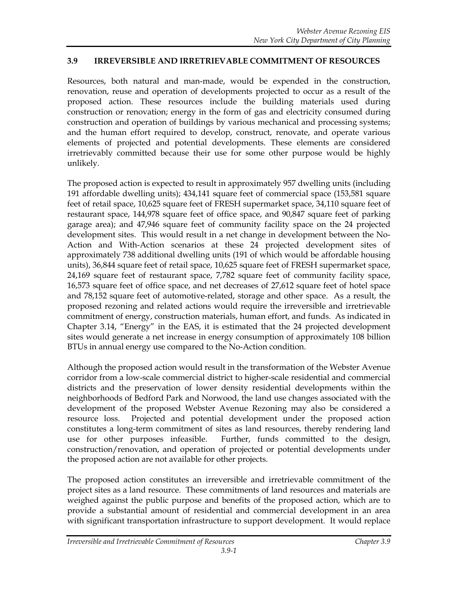## **3.9 IRREVERSIBLE AND IRRETRIEVABLE COMMITMENT OF RESOURCES**

Resources, both natural and man-made, would be expended in the construction, renovation, reuse and operation of developments projected to occur as a result of the proposed action. These resources include the building materials used during construction or renovation; energy in the form of gas and electricity consumed during construction and operation of buildings by various mechanical and processing systems; and the human effort required to develop, construct, renovate, and operate various elements of projected and potential developments. These elements are considered irretrievably committed because their use for some other purpose would be highly unlikely.

The proposed action is expected to result in approximately 957 dwelling units (including 191 affordable dwelling units); 434,141 square feet of commercial space (153,581 square feet of retail space, 10,625 square feet of FRESH supermarket space, 34,110 square feet of restaurant space, 144,978 square feet of office space, and 90,847 square feet of parking garage area); and 47,946 square feet of community facility space on the 24 projected development sites. This would result in a net change in development between the No-Action and With-Action scenarios at these 24 projected development sites of approximately 738 additional dwelling units (191 of which would be affordable housing units), 36,844 square feet of retail space, 10,625 square feet of FRESH supermarket space, 24,169 square feet of restaurant space, 7,782 square feet of community facility space, 16,573 square feet of office space, and net decreases of 27,612 square feet of hotel space and 78,152 square feet of automotive-related, storage and other space. As a result, the proposed rezoning and related actions would require the irreversible and irretrievable commitment of energy, construction materials, human effort, and funds. As indicated in Chapter 3.14, "Energy" in the EAS, it is estimated that the 24 projected development sites would generate a net increase in energy consumption of approximately 108 billion BTUs in annual energy use compared to the No-Action condition.

Although the proposed action would result in the transformation of the Webster Avenue corridor from a low-scale commercial district to higher-scale residential and commercial districts and the preservation of lower density residential developments within the neighborhoods of Bedford Park and Norwood, the land use changes associated with the development of the proposed Webster Avenue Rezoning may also be considered a resource loss. Projected and potential development under the proposed action constitutes a long-term commitment of sites as land resources, thereby rendering land use for other purposes infeasible. Further, funds committed to the design, construction/renovation, and operation of projected or potential developments under the proposed action are not available for other projects.

The proposed action constitutes an irreversible and irretrievable commitment of the project sites as a land resource. These commitments of land resources and materials are weighed against the public purpose and benefits of the proposed action, which are to provide a substantial amount of residential and commercial development in an area with significant transportation infrastructure to support development. It would replace